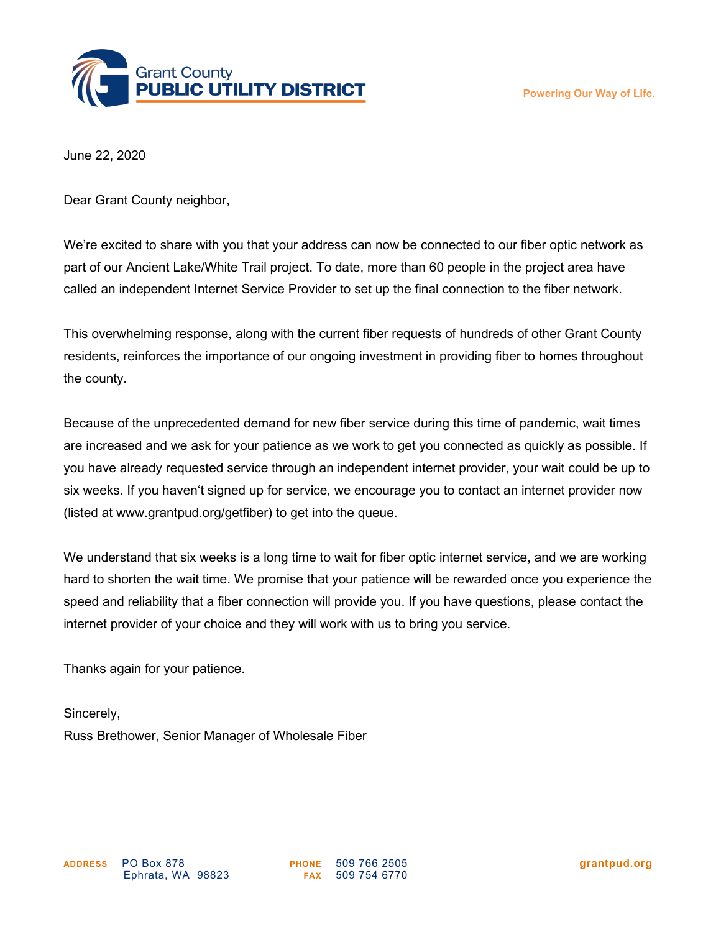

June 22, 2020

Dear Grant County neighbor,

We're excited to share with you that your address can now be connected to our fiber optic network as part of our Ancient Lake/White Trail project. To date, more than 60 people in the project area have called an independent Internet Service Provider to set up the final connection to the fiber network.

This overwhelming response, along with the current fiber requests of hundreds of other Grant County residents, reinforces the importance of our ongoing investment in providing fiber to homes throughout the county.

Because of the unprecedented demand for new fiber service during this time of pandemic, wait times are increased and we ask for your patience as we work to get you connected as quickly as possible. If you have already requested service through an independent internet provider, your wait could be up to six weeks. If you haven't signed up for service, we encourage you to contact an internet provider now (listed at www.grantpud.org/getfiber) to get into the queue.

We understand that six weeks is a long time to wait for fiber optic internet service, and we are working hard to shorten the wait time. We promise that your patience will be rewarded once you experience the speed and reliability that a fiber connection will provide you. If you have questions, please contact the internet provider of your choice and they will work with us to bring you service.

Thanks again for your patience.

Sincerely, Russ Brethower, Senior Manager of Wholesale Fiber